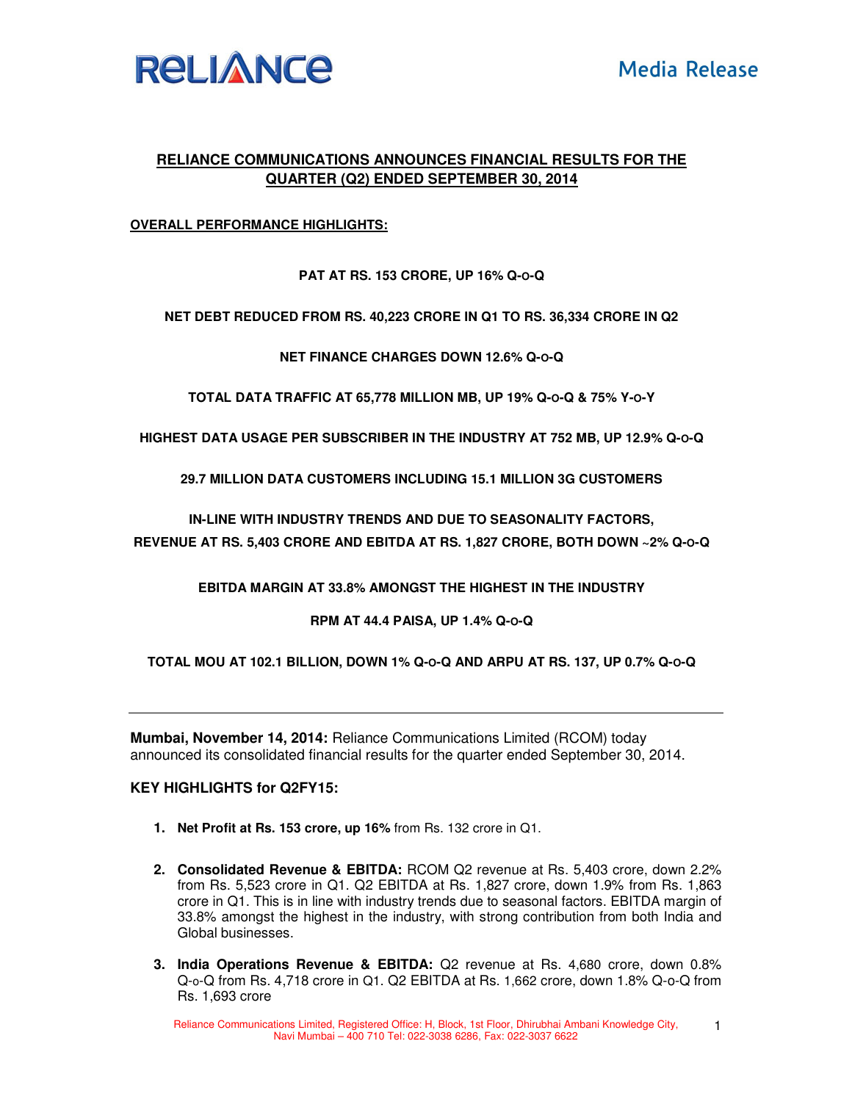

# **RELIANCE COMMUNICATIONS ANNOUNCES FINANCIAL RESULTS FOR THE QUARTER (Q2) ENDED SEPTEMBER 30, 2014**

## **OVERALL PERFORMANCE HIGHLIGHTS:**

**PAT AT RS. 153 CRORE, UP 16% Q-O-Q** 

**NET DEBT REDUCED FROM RS. 40,223 CRORE IN Q1 TO RS. 36,334 CRORE IN Q2** 

**NET FINANCE CHARGES DOWN 12.6% Q-O-Q** 

**TOTAL DATA TRAFFIC AT 65,778 MILLION MB, UP 19% Q-O-Q & 75% Y-O-Y** 

**HIGHEST DATA USAGE PER SUBSCRIBER IN THE INDUSTRY AT 752 MB, UP 12.9% Q-O-Q**

**29.7 MILLION DATA CUSTOMERS INCLUDING 15.1 MILLION 3G CUSTOMERS** 

**IN-LINE WITH INDUSTRY TRENDS AND DUE TO SEASONALITY FACTORS,** 

**REVENUE AT RS. 5,403 CRORE AND EBITDA AT RS. 1,827 CRORE, BOTH DOWN ~2% Q-O-Q** 

**EBITDA MARGIN AT 33.8% AMONGST THE HIGHEST IN THE INDUSTRY** 

**RPM AT 44.4 PAISA, UP 1.4% Q-O-Q** 

**TOTAL MOU AT 102.1 BILLION, DOWN 1% Q-O-Q AND ARPU AT RS. 137, UP 0.7% Q-O-Q** 

**Mumbai, November 14, 2014:** Reliance Communications Limited (RCOM) today announced its consolidated financial results for the quarter ended September 30, 2014.

## **KEY HIGHLIGHTS for Q2FY15:**

- **1. Net Profit at Rs. 153 crore, up 16%** from Rs. 132 crore in Q1.
- **2. Consolidated Revenue & EBITDA:** RCOM Q2 revenue at Rs. 5,403 crore, down 2.2% from Rs. 5,523 crore in Q1. Q2 EBITDA at Rs. 1,827 crore, down 1.9% from Rs. 1,863 crore in Q1. This is in line with industry trends due to seasonal factors. EBITDA margin of 33.8% amongst the highest in the industry, with strong contribution from both India and Global businesses.
- **3. India Operations Revenue & EBITDA:** Q2 revenue at Rs. 4,680 crore, down 0.8% Q-o-Q from Rs. 4,718 crore in Q1. Q2 EBITDA at Rs. 1,662 crore, down 1.8% Q-o-Q from Rs. 1,693 crore

Reliance Communications Limited, Registered Office: H, Block, 1st Floor, Dhirubhai Ambani Knowledge City, Navi Mumbai – 400 710 Tel: 022-3038 6286, Fax: 022-3037 6622 1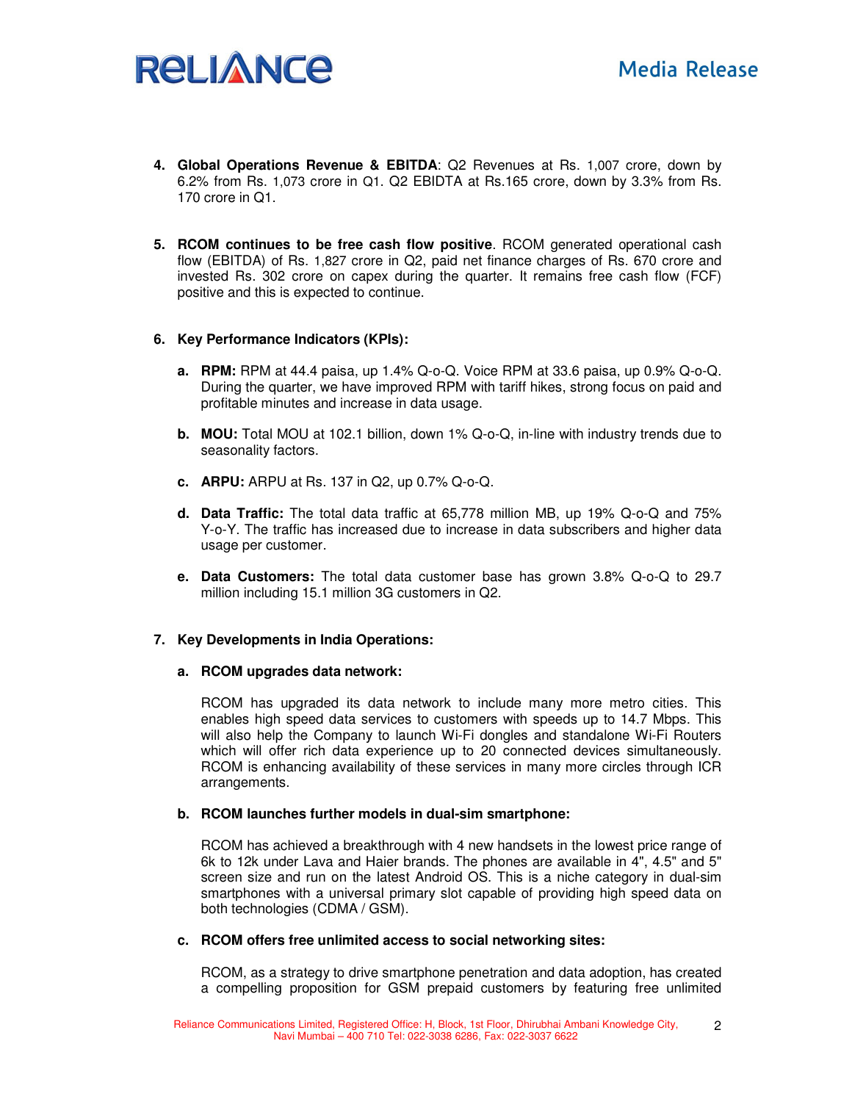# **RELIANCE**

- **4. Global Operations Revenue & EBITDA**: Q2 Revenues at Rs. 1,007 crore, down by 6.2% from Rs. 1,073 crore in Q1. Q2 EBIDTA at Rs.165 crore, down by 3.3% from Rs. 170 crore in Q1.
- **5. RCOM continues to be free cash flow positive**. RCOM generated operational cash flow (EBITDA) of Rs. 1,827 crore in Q2, paid net finance charges of Rs. 670 crore and invested Rs. 302 crore on capex during the quarter. It remains free cash flow (FCF) positive and this is expected to continue.

## **6. Key Performance Indicators (KPIs):**

- **a. RPM:** RPM at 44.4 paisa, up 1.4% Q-o-Q. Voice RPM at 33.6 paisa, up 0.9% Q-o-Q. During the quarter, we have improved RPM with tariff hikes, strong focus on paid and profitable minutes and increase in data usage.
- **b. MOU:** Total MOU at 102.1 billion, down 1% Q-o-Q, in-line with industry trends due to seasonality factors.
- **c. ARPU:** ARPU at Rs. 137 in Q2, up 0.7% Q-o-Q.
- **d. Data Traffic:** The total data traffic at 65,778 million MB, up 19% Q-o-Q and 75% Y-o-Y. The traffic has increased due to increase in data subscribers and higher data usage per customer.
- **e. Data Customers:** The total data customer base has grown 3.8% Q-o-Q to 29.7 million including 15.1 million 3G customers in Q2.

#### **7. Key Developments in India Operations:**

#### **a. RCOM upgrades data network:**

RCOM has upgraded its data network to include many more metro cities. This enables high speed data services to customers with speeds up to 14.7 Mbps. This will also help the Company to launch Wi-Fi dongles and standalone Wi-Fi Routers which will offer rich data experience up to 20 connected devices simultaneously. RCOM is enhancing availability of these services in many more circles through ICR arrangements.

#### **b. RCOM launches further models in dual-sim smartphone:**

RCOM has achieved a breakthrough with 4 new handsets in the lowest price range of 6k to 12k under Lava and Haier brands. The phones are available in 4", 4.5" and 5" screen size and run on the latest Android OS. This is a niche category in dual-sim smartphones with a universal primary slot capable of providing high speed data on both technologies (CDMA / GSM).

#### **c. RCOM offers free unlimited access to social networking sites:**

RCOM, as a strategy to drive smartphone penetration and data adoption, has created a compelling proposition for GSM prepaid customers by featuring free unlimited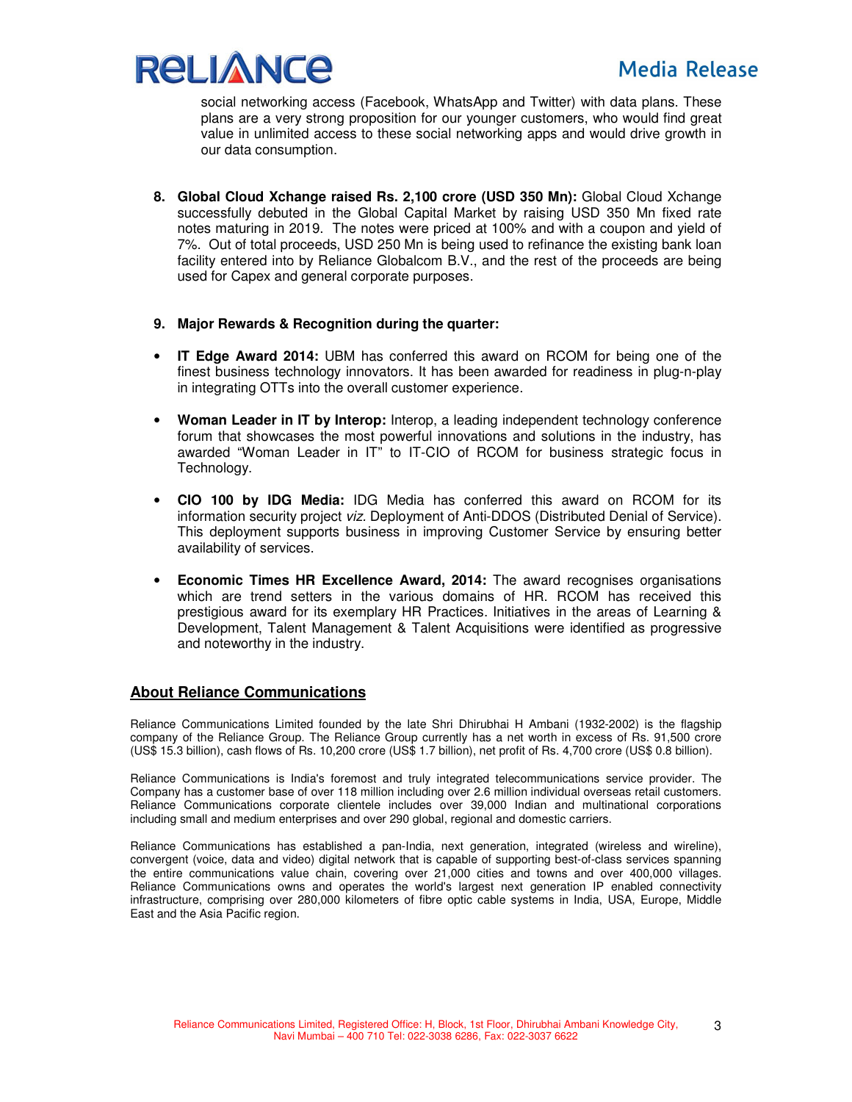

social networking access (Facebook, WhatsApp and Twitter) with data plans. These plans are a very strong proposition for our younger customers, who would find great value in unlimited access to these social networking apps and would drive growth in our data consumption.

- **8. Global Cloud Xchange raised Rs. 2,100 crore (USD 350 Mn):** Global Cloud Xchange successfully debuted in the Global Capital Market by raising USD 350 Mn fixed rate notes maturing in 2019. The notes were priced at 100% and with a coupon and yield of 7%. Out of total proceeds, USD 250 Mn is being used to refinance the existing bank loan facility entered into by Reliance Globalcom B.V., and the rest of the proceeds are being used for Capex and general corporate purposes.
- **9. Major Rewards & Recognition during the quarter:**
- **IT Edge Award 2014:** UBM has conferred this award on RCOM for being one of the finest business technology innovators. It has been awarded for readiness in plug-n-play in integrating OTTs into the overall customer experience.
- **Woman Leader in IT by Interop:** Interop, a leading independent technology conference forum that showcases the most powerful innovations and solutions in the industry, has awarded "Woman Leader in IT" to IT-CIO of RCOM for business strategic focus in Technology.
- **CIO 100 by IDG Media:** IDG Media has conferred this award on RCOM for its information security project viz. Deployment of Anti-DDOS (Distributed Denial of Service). This deployment supports business in improving Customer Service by ensuring better availability of services.
- **Economic Times HR Excellence Award, 2014:** The award recognises organisations which are trend setters in the various domains of HR. RCOM has received this prestigious award for its exemplary HR Practices. Initiatives in the areas of Learning & Development, Talent Management & Talent Acquisitions were identified as progressive and noteworthy in the industry.

# **About Reliance Communications**

Reliance Communications Limited founded by the late Shri Dhirubhai H Ambani (1932-2002) is the flagship company of the Reliance Group. The Reliance Group currently has a net worth in excess of Rs. 91,500 crore (US\$ 15.3 billion), cash flows of Rs. 10,200 crore (US\$ 1.7 billion), net profit of Rs. 4,700 crore (US\$ 0.8 billion).

Reliance Communications is India's foremost and truly integrated telecommunications service provider. The Company has a customer base of over 118 million including over 2.6 million individual overseas retail customers. Reliance Communications corporate clientele includes over 39,000 Indian and multinational corporations including small and medium enterprises and over 290 global, regional and domestic carriers.

Reliance Communications has established a pan-India, next generation, integrated (wireless and wireline), convergent (voice, data and video) digital network that is capable of supporting best-of-class services spanning the entire communications value chain, covering over 21,000 cities and towns and over 400,000 villages. Reliance Communications owns and operates the world's largest next generation IP enabled connectivity infrastructure, comprising over 280,000 kilometers of fibre optic cable systems in India, USA, Europe, Middle East and the Asia Pacific region.